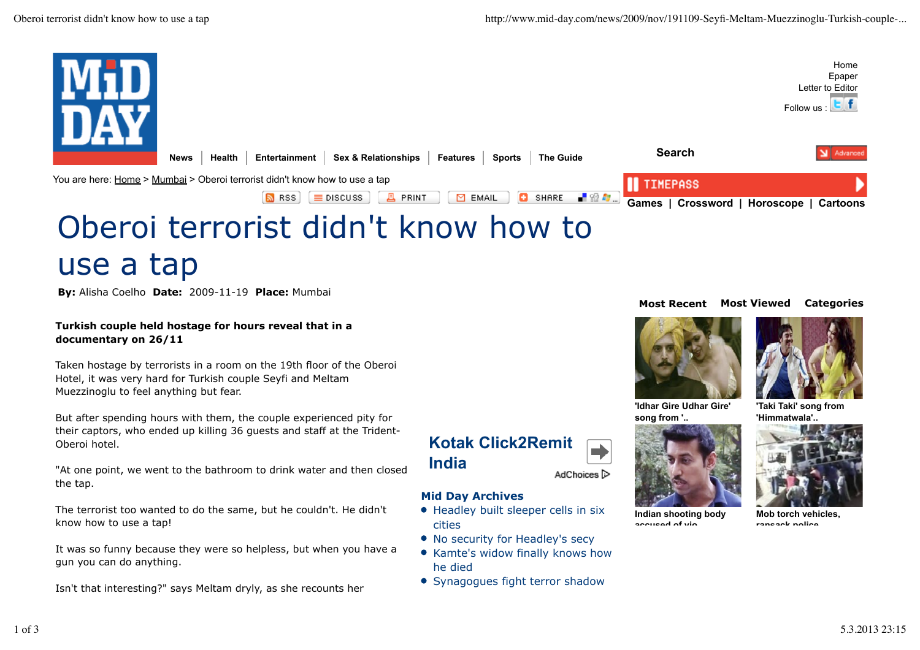

# use a tap

**By:** Alisha Coelho **Date:** 2009-11-19 **Place:** Mumbai

**Turkish couple held hostage for hours reveal that in a documentary on 26/11**

Taken hostage by terrorists in a room on the 19th floor of the Oberoi Hotel, it was very hard for Turkish couple Seyfi and Meltam Muezzinoglu to feel anything but fear.

But after spending hours with them, the couple experienced pity for their captors, who ended up killing 36 guests and staff at the Trident-Oberoi hotel.

"At one point, we went to the bathroom to drink water and then closed the tap.

The terrorist too wanted to do the same, but he couldn't. He didn't know how to use a tap!

It was so funny because they were so helpless, but when you have a gun you can do anything.

Isn't that interesting?" says Meltam dryly, as she recounts her

#### **Most Recent Most Viewed Categories**





**'Idhar Gire Udhar Gire' song from '..**



## **Kotak Click2Remit India** AdChoices<sup>1></sup>

## **Mid Day Archives**

- Headley built sleeper cells in six cities
- No security for Headley's secy
- Kamte's widow finally knows how he died
- Synagogues fight terror shadow



**Indian shooting body accused of vio..**



**Mob torch vehicles, ransack police ..**